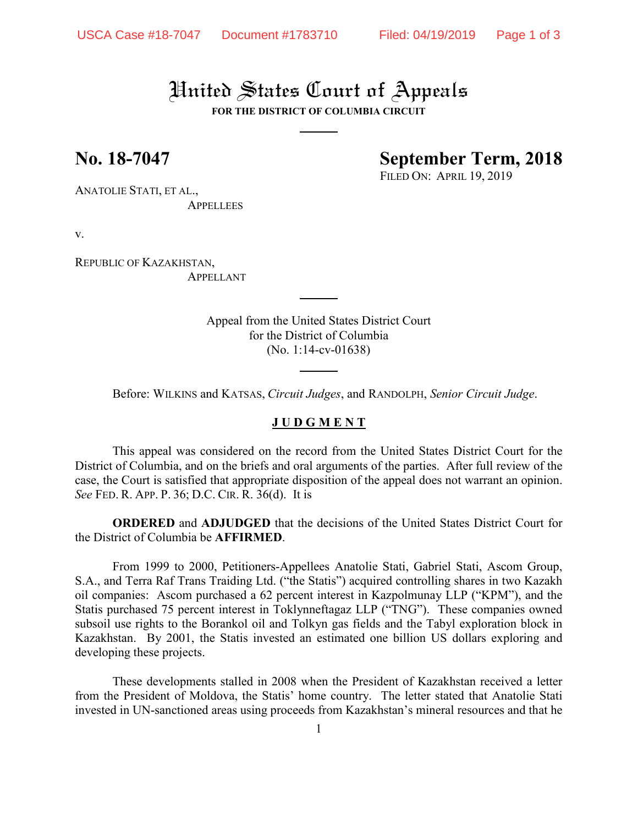# United States Court of Appeals

**FOR THE DISTRICT OF COLUMBIA CIRCUIT**

## **No. 18-7047 September Term, 2018**

FILED ON: APRIL 19, 2019

ANATOLIE STATI, ET AL., APPELLEES

v.

REPUBLIC OF KAZAKHSTAN, APPELLANT

> Appeal from the United States District Court for the District of Columbia (No. 1:14-cv-01638)

Before: WILKINS and KATSAS, *Circuit Judges*, and RANDOLPH, *Senior Circuit Judge*.

## **J U D G M E N T**

This appeal was considered on the record from the United States District Court for the District of Columbia, and on the briefs and oral arguments of the parties. After full review of the case, the Court is satisfied that appropriate disposition of the appeal does not warrant an opinion. *See* FED. R. APP. P. 36; D.C. CIR. R. 36(d). It is

**ORDERED** and **ADJUDGED** that the decisions of the United States District Court for the District of Columbia be **AFFIRMED**.

From 1999 to 2000, Petitioners-Appellees Anatolie Stati, Gabriel Stati, Ascom Group, S.A., and Terra Raf Trans Traiding Ltd. ("the Statis") acquired controlling shares in two Kazakh oil companies: Ascom purchased a 62 percent interest in Kazpolmunay LLP ("KPM"), and the Statis purchased 75 percent interest in Toklynneftagaz LLP ("TNG"). These companies owned subsoil use rights to the Borankol oil and Tolkyn gas fields and the Tabyl exploration block in Kazakhstan. By 2001, the Statis invested an estimated one billion US dollars exploring and developing these projects.

These developments stalled in 2008 when the President of Kazakhstan received a letter from the President of Moldova, the Statis' home country. The letter stated that Anatolie Stati invested in UN-sanctioned areas using proceeds from Kazakhstan's mineral resources and that he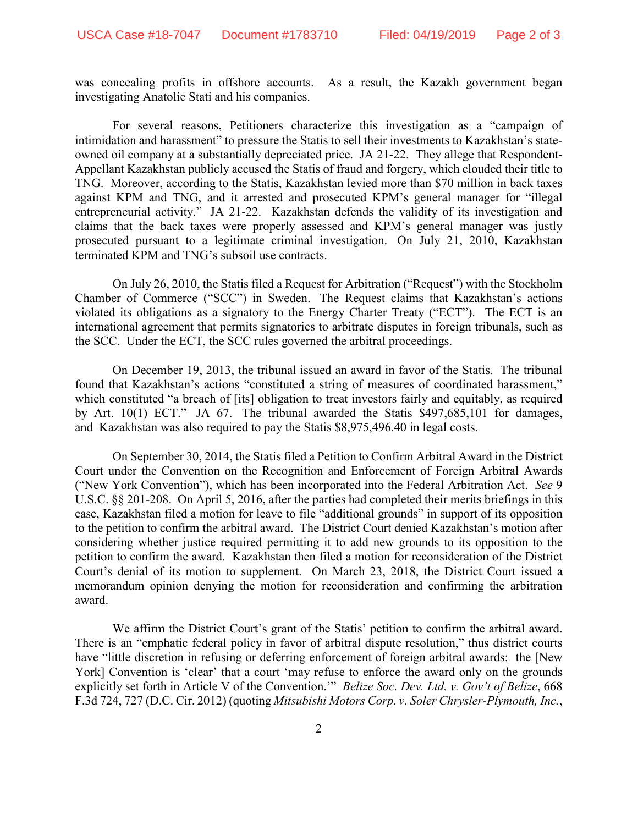was concealing profits in offshore accounts. As a result, the Kazakh government began investigating Anatolie Stati and his companies.

For several reasons, Petitioners characterize this investigation as a "campaign of intimidation and harassment" to pressure the Statis to sell their investments to Kazakhstan's stateowned oil company at a substantially depreciated price. JA 21-22. They allege that Respondent-Appellant Kazakhstan publicly accused the Statis of fraud and forgery, which clouded their title to TNG. Moreover, according to the Statis, Kazakhstan levied more than \$70 million in back taxes against KPM and TNG, and it arrested and prosecuted KPM's general manager for "illegal entrepreneurial activity." JA 21-22. Kazakhstan defends the validity of its investigation and claims that the back taxes were properly assessed and KPM's general manager was justly prosecuted pursuant to a legitimate criminal investigation. On July 21, 2010, Kazakhstan terminated KPM and TNG's subsoil use contracts.

On July 26, 2010, the Statis filed a Request for Arbitration ("Request") with the Stockholm Chamber of Commerce ("SCC") in Sweden. The Request claims that Kazakhstan's actions violated its obligations as a signatory to the Energy Charter Treaty ("ECT"). The ECT is an international agreement that permits signatories to arbitrate disputes in foreign tribunals, such as the SCC. Under the ECT, the SCC rules governed the arbitral proceedings.

On December 19, 2013, the tribunal issued an award in favor of the Statis. The tribunal found that Kazakhstan's actions "constituted a string of measures of coordinated harassment," which constituted "a breach of [its] obligation to treat investors fairly and equitably, as required by Art. 10(1) ECT." JA 67. The tribunal awarded the Statis \$497,685,101 for damages, and Kazakhstan was also required to pay the Statis \$8,975,496.40 in legal costs.

On September 30, 2014, the Statis filed a Petition to Confirm Arbitral Award in the District Court under the Convention on the Recognition and Enforcement of Foreign Arbitral Awards ("New York Convention"), which has been incorporated into the Federal Arbitration Act. *See* [9](https://1.next.westlaw.com/Link/Document/FullText?findType=L&pubNum=1000546&cite=9USCAS201&originatingDoc=I63d636743acc11e5b4bafa136b480ad2&refType=LQ&originationContext=document&transitionType=DocumentItem&contextData=(sc.UserEnteredCitation))  [U.S.C. §§ 201-](https://1.next.westlaw.com/Link/Document/FullText?findType=L&pubNum=1000546&cite=9USCAS201&originatingDoc=I63d636743acc11e5b4bafa136b480ad2&refType=LQ&originationContext=document&transitionType=DocumentItem&contextData=(sc.UserEnteredCitation))[208.](https://1.next.westlaw.com/Link/Document/FullText?findType=L&pubNum=1000546&cite=9USCAS208&originatingDoc=I63d636743acc11e5b4bafa136b480ad2&refType=LQ&originationContext=document&transitionType=DocumentItem&contextData=(sc.UserEnteredCitation)) On April 5, 2016, after the parties had completed their merits briefings in this case, Kazakhstan filed a motion for leave to file "additional grounds" in support of its opposition to the petition to confirm the arbitral award. The District Court denied Kazakhstan's motion after considering whether justice required permitting it to add new grounds to its opposition to the petition to confirm the award. Kazakhstan then filed a motion for reconsideration of the District Court's denial of its motion to supplement. On March 23, 2018, the District Court issued a memorandum opinion denying the motion for reconsideration and confirming the arbitration award.

We affirm the District Court's grant of the Statis' petition to confirm the arbitral award. There is an "emphatic federal policy in favor of arbitral dispute resolution," thus district courts have "little discretion in refusing or deferring enforcement of foreign arbitral awards: the [New York] Convention is 'clear' that a court 'may refuse to enforce the award only on the grounds explicitly set forth in Article V of the Convention.'" *Belize Soc. Dev. Ltd. v. Gov't of Belize*, 668 F.3d 724, 727 (D.C. Cir. 2012) (quoting *Mitsubishi Motors Corp. v. Soler Chrysler-Plymouth, Inc.*,